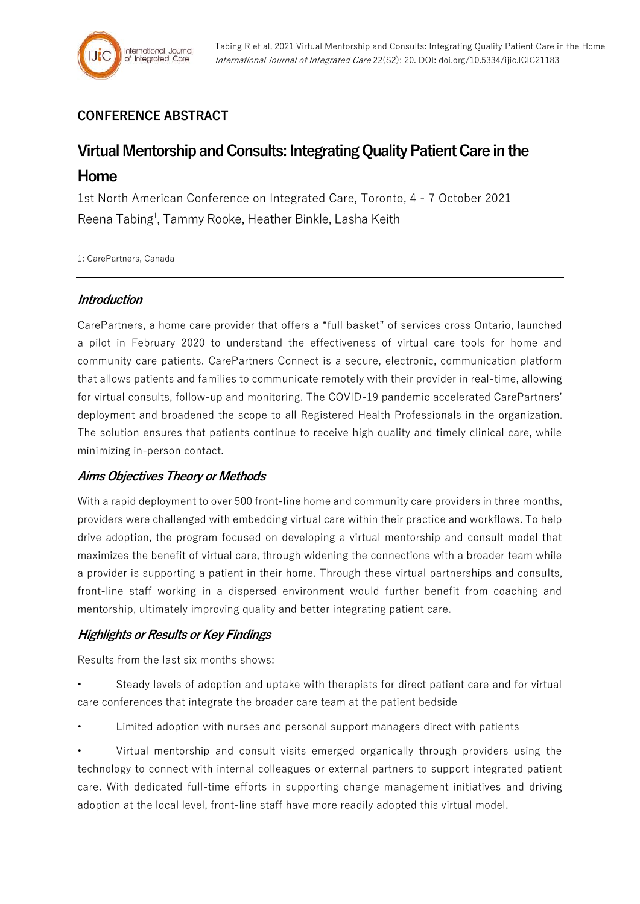## **CONFERENCE ABSTRACT**

# **Virtual Mentorship and Consults: Integrating Quality Patient Care in the Home**

1st North American Conference on Integrated Care, Toronto, 4 - 7 October 2021 Reena Tabing<sup>1</sup>, Tammy Rooke, Heather Binkle, Lasha Keith

1: CarePartners, Canada

#### **Introduction**

CarePartners, a home care provider that offers a "full basket" of services cross Ontario, launched a pilot in February 2020 to understand the effectiveness of virtual care tools for home and community care patients. CarePartners Connect is a secure, electronic, communication platform that allows patients and families to communicate remotely with their provider in real-time, allowing for virtual consults, follow-up and monitoring. The COVID-19 pandemic accelerated CarePartners' deployment and broadened the scope to all Registered Health Professionals in the organization. The solution ensures that patients continue to receive high quality and timely clinical care, while minimizing in-person contact.

## **Aims Objectives Theory or Methods**

With a rapid deployment to over 500 front-line home and community care providers in three months, providers were challenged with embedding virtual care within their practice and workflows. To help drive adoption, the program focused on developing a virtual mentorship and consult model that maximizes the benefit of virtual care, through widening the connections with a broader team while a provider is supporting a patient in their home. Through these virtual partnerships and consults, front-line staff working in a dispersed environment would further benefit from coaching and mentorship, ultimately improving quality and better integrating patient care.

## **Highlights or Results or Key Findings**

Results from the last six months shows:

- Steady levels of adoption and uptake with therapists for direct patient care and for virtual care conferences that integrate the broader care team at the patient bedside
- Limited adoption with nurses and personal support managers direct with patients
- Virtual mentorship and consult visits emerged organically through providers using the technology to connect with internal colleagues or external partners to support integrated patient care. With dedicated full-time efforts in supporting change management initiatives and driving adoption at the local level, front-line staff have more readily adopted this virtual model.